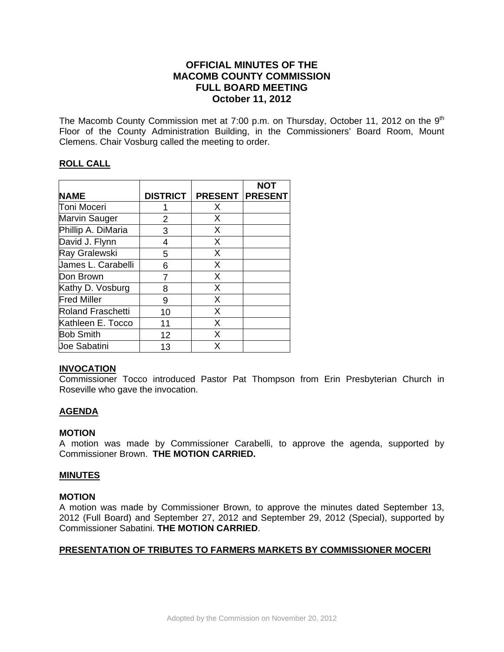# **OFFICIAL MINUTES OF THE MACOMB COUNTY COMMISSION FULL BOARD MEETING October 11, 2012**

The Macomb County Commission met at 7:00 p.m. on Thursday, October 11, 2012 on the  $9<sup>th</sup>$ Floor of the County Administration Building, in the Commissioners' Board Room, Mount Clemens. Chair Vosburg called the meeting to order.

### **ROLL CALL**

|                    |                 |                | <b>NOT</b>     |
|--------------------|-----------------|----------------|----------------|
| <b>NAME</b>        | <b>DISTRICT</b> | <b>PRESENT</b> | <b>PRESENT</b> |
| Toni Moceri        |                 | X              |                |
| Marvin Sauger      | 2               | X              |                |
| Phillip A. DiMaria | 3               | X              |                |
| David J. Flynn     | 4               | X              |                |
| Ray Gralewski      | 5               | X              |                |
| James L. Carabelli | 6               | X              |                |
| Don Brown          |                 | X              |                |
| Kathy D. Vosburg   | 8               | X              |                |
| <b>Fred Miller</b> | 9               | X              |                |
| Roland Fraschetti  | 10              | X              |                |
| Kathleen E. Tocco  | 11              | X              |                |
| <b>Bob Smith</b>   | 12              | X              |                |
| Joe Sabatini       | 13              | X              |                |

#### **INVOCATION**

Commissioner Tocco introduced Pastor Pat Thompson from Erin Presbyterian Church in Roseville who gave the invocation.

### **AGENDA**

#### **MOTION**

A motion was made by Commissioner Carabelli, to approve the agenda, supported by Commissioner Brown. **THE MOTION CARRIED.** 

#### **MINUTES**

#### **MOTION**

A motion was made by Commissioner Brown, to approve the minutes dated September 13, 2012 (Full Board) and September 27, 2012 and September 29, 2012 (Special), supported by Commissioner Sabatini. **THE MOTION CARRIED**.

### **PRESENTATION OF TRIBUTES TO FARMERS MARKETS BY COMMISSIONER MOCERI**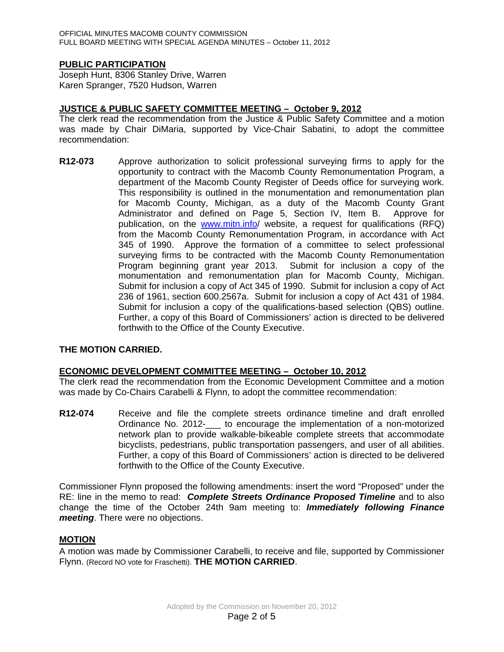### **PUBLIC PARTICIPATION**

Joseph Hunt, 8306 Stanley Drive, Warren Karen Spranger, 7520 Hudson, Warren

### **JUSTICE & PUBLIC SAFETY COMMITTEE MEETING – October 9, 2012**

The clerk read the recommendation from the Justice & Public Safety Committee and a motion was made by Chair DiMaria, supported by Vice-Chair Sabatini, to adopt the committee recommendation:

**R12-073** Approve authorization to solicit professional surveying firms to apply for the opportunity to contract with the Macomb County Remonumentation Program, a department of the Macomb County Register of Deeds office for surveying work. This responsibility is outlined in the monumentation and remonumentation plan for Macomb County, Michigan, as a duty of the Macomb County Grant Administrator and defined on Page 5, Section IV, Item B. Approve for publication, on the [www.mitn.info/](http://www.mitn.info/) website, a request for qualifications (RFQ) from the Macomb County Remonumentation Program, in accordance with Act 345 of 1990. Approve the formation of a committee to select professional surveying firms to be contracted with the Macomb County Remonumentation Program beginning grant year 2013. Submit for inclusion a copy of the monumentation and remonumentation plan for Macomb County, Michigan. Submit for inclusion a copy of Act 345 of 1990. Submit for inclusion a copy of Act 236 of 1961, section 600.2567a. Submit for inclusion a copy of Act 431 of 1984. Submit for inclusion a copy of the qualifications-based selection (QBS) outline. Further, a copy of this Board of Commissioners' action is directed to be delivered forthwith to the Office of the County Executive.

#### **THE MOTION CARRIED.**

#### **ECONOMIC DEVELOPMENT COMMITTEE MEETING – October 10, 2012**

The clerk read the recommendation from the Economic Development Committee and a motion was made by Co-Chairs Carabelli & Flynn, to adopt the committee recommendation:

**R12-074** Receive and file the complete streets ordinance timeline and draft enrolled Ordinance No. 2012-\_\_\_ to encourage the implementation of a non-motorized network plan to provide walkable-bikeable complete streets that accommodate bicyclists, pedestrians, public transportation passengers, and user of all abilities. Further, a copy of this Board of Commissioners' action is directed to be delivered forthwith to the Office of the County Executive.

Commissioner Flynn proposed the following amendments: insert the word "Proposed" under the RE: line in the memo to read: *Complete Streets Ordinance Proposed Timeline* and to also change the time of the October 24th 9am meeting to: *Immediately following Finance meeting*. There were no objections.

#### **MOTION**

A motion was made by Commissioner Carabelli, to receive and file, supported by Commissioner Flynn. (Record NO vote for Fraschetti). **THE MOTION CARRIED**.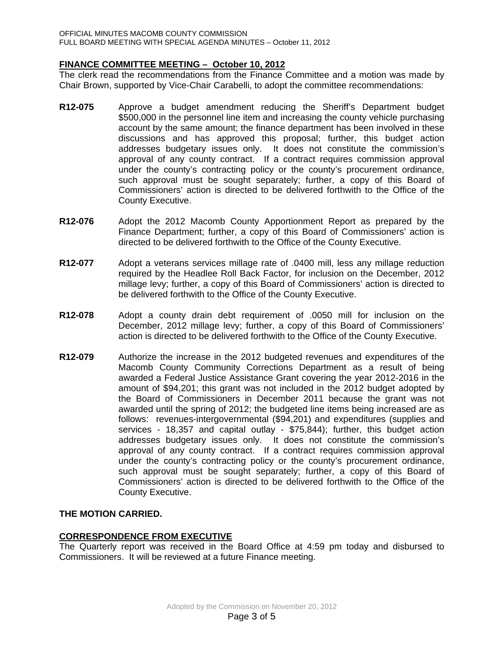### **FINANCE COMMITTEE MEETING – October 10, 2012**

The clerk read the recommendations from the Finance Committee and a motion was made by Chair Brown, supported by Vice-Chair Carabelli, to adopt the committee recommendations:

- **R12-075** Approve a budget amendment reducing the Sheriff's Department budget \$500,000 in the personnel line item and increasing the county vehicle purchasing account by the same amount; the finance department has been involved in these discussions and has approved this proposal; further, this budget action addresses budgetary issues only. It does not constitute the commission's approval of any county contract. If a contract requires commission approval under the county's contracting policy or the county's procurement ordinance, such approval must be sought separately; further, a copy of this Board of Commissioners' action is directed to be delivered forthwith to the Office of the County Executive.
- **R12-076** Adopt the 2012 Macomb County Apportionment Report as prepared by the Finance Department; further, a copy of this Board of Commissioners' action is directed to be delivered forthwith to the Office of the County Executive.
- **R12-077** Adopt a veterans services millage rate of .0400 mill, less any millage reduction required by the Headlee Roll Back Factor, for inclusion on the December, 2012 millage levy; further, a copy of this Board of Commissioners' action is directed to be delivered forthwith to the Office of the County Executive.
- **R12-078** Adopt a county drain debt requirement of .0050 mill for inclusion on the December, 2012 millage levy; further, a copy of this Board of Commissioners' action is directed to be delivered forthwith to the Office of the County Executive.
- **R12-079** Authorize the increase in the 2012 budgeted revenues and expenditures of the Macomb County Community Corrections Department as a result of being awarded a Federal Justice Assistance Grant covering the year 2012-2016 in the amount of \$94,201; this grant was not included in the 2012 budget adopted by the Board of Commissioners in December 2011 because the grant was not awarded until the spring of 2012; the budgeted line items being increased are as follows: revenues-intergovernmental (\$94,201) and expenditures (supplies and services - 18,357 and capital outlay - \$75,844); further, this budget action addresses budgetary issues only. It does not constitute the commission's approval of any county contract. If a contract requires commission approval under the county's contracting policy or the county's procurement ordinance, such approval must be sought separately; further, a copy of this Board of Commissioners' action is directed to be delivered forthwith to the Office of the County Executive.

### **THE MOTION CARRIED.**

### **CORRESPONDENCE FROM EXECUTIVE**

The Quarterly report was received in the Board Office at 4:59 pm today and disbursed to Commissioners. It will be reviewed at a future Finance meeting.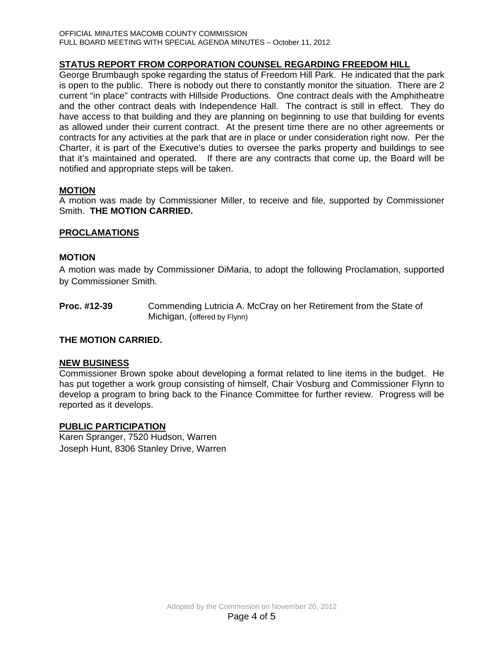# **STATUS REPORT FROM CORPORATION COUNSEL REGARDING FREEDOM HILL**

George Brumbaugh spoke regarding the status of Freedom Hill Park. He indicated that the park is open to the public. There is nobody out there to constantly monitor the situation. There are 2 current "in place" contracts with Hillside Productions. One contract deals with the Amphitheatre and the other contract deals with Independence Hall. The contract is still in effect. They do have access to that building and they are planning on beginning to use that building for events as allowed under their current contract. At the present time there are no other agreements or contracts for any activities at the park that are in place or under consideration right now. Per the Charter, it is part of the Executive's duties to oversee the parks property and buildings to see that it's maintained and operated. If there are any contracts that come up, the Board will be notified and appropriate steps will be taken.

## **MOTION**

A motion was made by Commissioner Miller, to receive and file, supported by Commissioner Smith. **THE MOTION CARRIED.** 

### **PROCLAMATIONS**

### **MOTION**

A motion was made by Commissioner DiMaria, to adopt the following Proclamation, supported by Commissioner Smith.

**Proc. #12-39** Commending Lutricia A. McCray on her Retirement from the State of Michigan, (offered by Flynn)

#### **THE MOTION CARRIED.**

#### **NEW BUSINESS**

Commissioner Brown spoke about developing a format related to line items in the budget. He has put together a work group consisting of himself, Chair Vosburg and Commissioner Flynn to develop a program to bring back to the Finance Committee for further review. Progress will be reported as it develops.

#### **PUBLIC PARTICIPATION**

Karen Spranger, 7520 Hudson, Warren Joseph Hunt, 8306 Stanley Drive, Warren